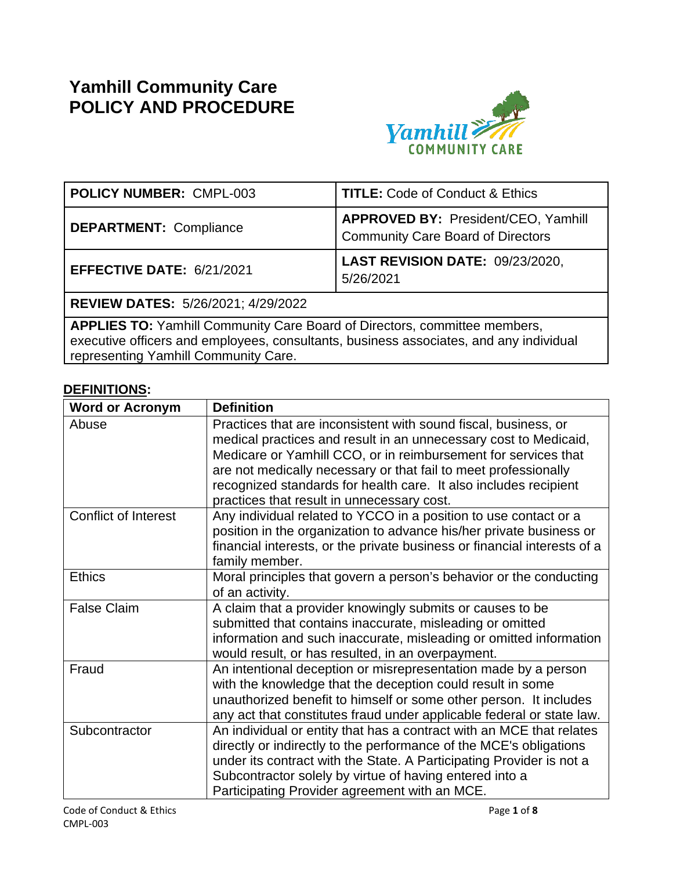# **Yamhill Community Care POLICY AND PROCEDURE**



| <b>POLICY NUMBER: CMPL-003</b>                                                   | <b>TITLE: Code of Conduct &amp; Ethics</b>                                             |  |  |  |
|----------------------------------------------------------------------------------|----------------------------------------------------------------------------------------|--|--|--|
| <b>DEPARTMENT: Compliance</b>                                                    | <b>APPROVED BY: President/CEO, Yamhill</b><br><b>Community Care Board of Directors</b> |  |  |  |
| EFFECTIVE DATE: 6/21/2021                                                        | LAST REVISION DATE: 09/23/2020,<br>5/26/2021                                           |  |  |  |
| <b>REVIEW DATES: 5/26/2021; 4/29/2022</b>                                        |                                                                                        |  |  |  |
| <b>APPLIES TO:</b> Yamhill Community Care Board of Directors, committee members, |                                                                                        |  |  |  |

executive officers and employees, consultants, business associates, and any individual representing Yamhill Community Care.

# **DEFINITIONS:**

| <b>Word or Acronym</b>      | <b>Definition</b>                                                                                                                                                                                                                                                                                                                                                                          |
|-----------------------------|--------------------------------------------------------------------------------------------------------------------------------------------------------------------------------------------------------------------------------------------------------------------------------------------------------------------------------------------------------------------------------------------|
| Abuse                       | Practices that are inconsistent with sound fiscal, business, or<br>medical practices and result in an unnecessary cost to Medicaid,<br>Medicare or Yamhill CCO, or in reimbursement for services that<br>are not medically necessary or that fail to meet professionally<br>recognized standards for health care. It also includes recipient<br>practices that result in unnecessary cost. |
| <b>Conflict of Interest</b> | Any individual related to YCCO in a position to use contact or a<br>position in the organization to advance his/her private business or<br>financial interests, or the private business or financial interests of a<br>family member.                                                                                                                                                      |
| <b>Ethics</b>               | Moral principles that govern a person's behavior or the conducting<br>of an activity.                                                                                                                                                                                                                                                                                                      |
| <b>False Claim</b>          | A claim that a provider knowingly submits or causes to be<br>submitted that contains inaccurate, misleading or omitted<br>information and such inaccurate, misleading or omitted information<br>would result, or has resulted, in an overpayment.                                                                                                                                          |
| Fraud                       | An intentional deception or misrepresentation made by a person<br>with the knowledge that the deception could result in some<br>unauthorized benefit to himself or some other person. It includes<br>any act that constitutes fraud under applicable federal or state law.                                                                                                                 |
| Subcontractor               | An individual or entity that has a contract with an MCE that relates<br>directly or indirectly to the performance of the MCE's obligations<br>under its contract with the State. A Participating Provider is not a<br>Subcontractor solely by virtue of having entered into a<br>Participating Provider agreement with an MCE.                                                             |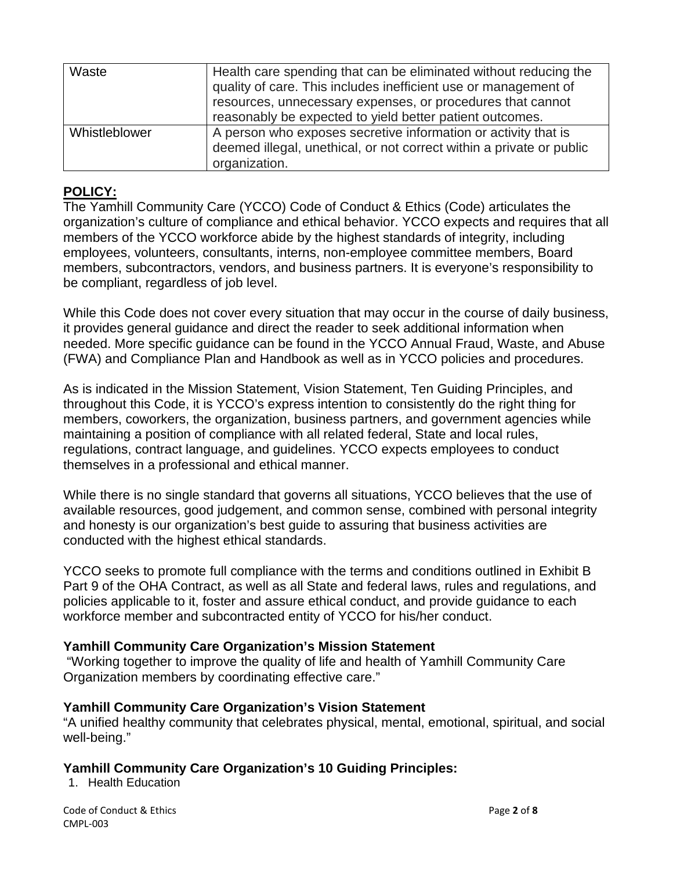| Waste         | Health care spending that can be eliminated without reducing the<br>quality of care. This includes inefficient use or management of<br>resources, unnecessary expenses, or procedures that cannot<br>reasonably be expected to yield better patient outcomes. |
|---------------|---------------------------------------------------------------------------------------------------------------------------------------------------------------------------------------------------------------------------------------------------------------|
| Whistleblower | A person who exposes secretive information or activity that is<br>deemed illegal, unethical, or not correct within a private or public<br>organization.                                                                                                       |

#### **POLICY:**

The Yamhill Community Care (YCCO) Code of Conduct & Ethics (Code) articulates the organization's culture of compliance and ethical behavior. YCCO expects and requires that all members of the YCCO workforce abide by the highest standards of integrity, including employees, volunteers, consultants, interns, non-employee committee members, Board members, subcontractors, vendors, and business partners. It is everyone's responsibility to be compliant, regardless of job level.

While this Code does not cover every situation that may occur in the course of daily business, it provides general guidance and direct the reader to seek additional information when needed. More specific guidance can be found in the YCCO Annual Fraud, Waste, and Abuse (FWA) and Compliance Plan and Handbook as well as in YCCO policies and procedures.

As is indicated in the Mission Statement, Vision Statement, Ten Guiding Principles, and throughout this Code, it is YCCO's express intention to consistently do the right thing for members, coworkers, the organization, business partners, and government agencies while maintaining a position of compliance with all related federal, State and local rules, regulations, contract language, and guidelines. YCCO expects employees to conduct themselves in a professional and ethical manner.

While there is no single standard that governs all situations, YCCO believes that the use of available resources, good judgement, and common sense, combined with personal integrity and honesty is our organization's best guide to assuring that business activities are conducted with the highest ethical standards.

YCCO seeks to promote full compliance with the terms and conditions outlined in Exhibit B Part 9 of the OHA Contract, as well as all State and federal laws, rules and regulations, and policies applicable to it, foster and assure ethical conduct, and provide guidance to each workforce member and subcontracted entity of YCCO for his/her conduct.

#### **Yamhill Community Care Organization's Mission Statement**

"Working together to improve the quality of life and health of Yamhill Community Care Organization members by coordinating effective care."

#### **Yamhill Community Care Organization's Vision Statement**

"A unified healthy community that celebrates physical, mental, emotional, spiritual, and social well-being."

# **Yamhill Community Care Organization's 10 Guiding Principles:**

1. Health Education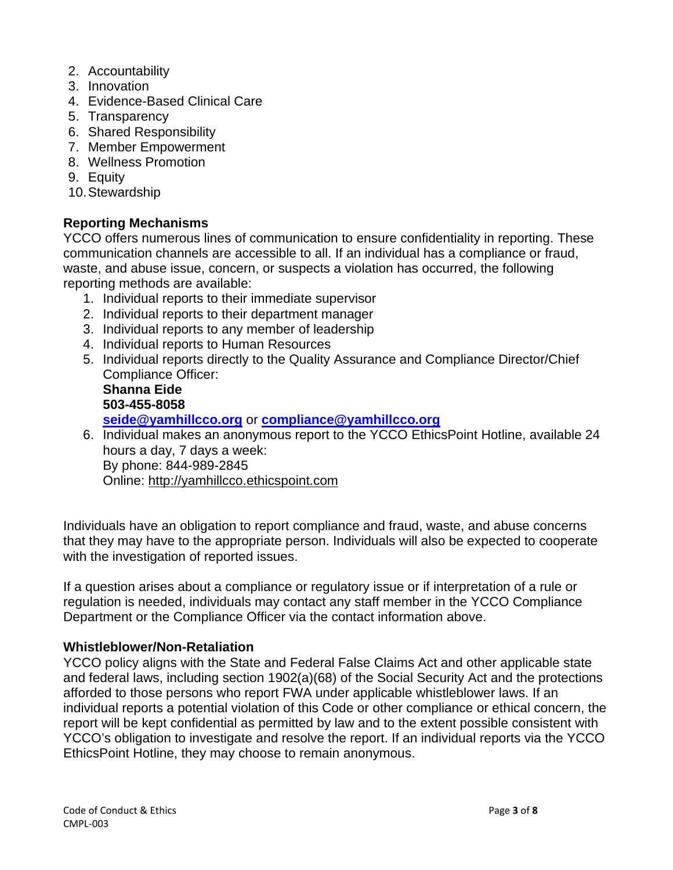- 2. Accountability
- 3. Innovation
- 4. Evidence-Based Clinical Care
- 5. Transparency
- 6. Shared Responsibility
- 7. Member Empowerment
- 8. Wellness Promotion
- 9. Equity
- 10.Stewardship

#### **Reporting Mechanisms**

YCCO offers numerous lines of communication to ensure confidentiality in reporting. These communication channels are accessible to all. If an individual has a compliance or fraud, waste, and abuse issue, concern, or suspects a violation has occurred, the following reporting methods are available:

- 1. Individual reports to their immediate supervisor
- 2. Individual reports to their department manager
- 3. Individual reports to any member of leadership
- 4. Individual reports to Human Resources
- 5. Individual reports directly to the Quality Assurance and Compliance Director/Chief Compliance Officer: **Shanna Eide 503-455-8058 [seide@yamhillcco.org](mailto:seide@yamhillcco.org)** or **[compliance@yamhillcco.org](mailto:compliance@yamhillcco.org)**
- 6. Individual makes an anonymous report to the YCCO EthicsPoint Hotline, available 24 hours a day, 7 days a week: By phone: 844-989-2845 Online: http://yamhillcco.ethicspoint.com

Individuals have an obligation to report compliance and fraud, waste, and abuse concerns that they may have to the appropriate person. Individuals will also be expected to cooperate with the investigation of reported issues.

If a question arises about a compliance or regulatory issue or if interpretation of a rule or regulation is needed, individuals may contact any staff member in the YCCO Compliance Department or the Compliance Officer via the contact information above.

#### **Whistleblower/Non-Retaliation**

YCCO policy aligns with the State and Federal False Claims Act and other applicable state and federal laws, including section 1902(a)(68) of the Social Security Act and the protections afforded to those persons who report FWA under applicable whistleblower laws. If an individual reports a potential violation of this Code or other compliance or ethical concern, the report will be kept confidential as permitted by law and to the extent possible consistent with YCCO's obligation to investigate and resolve the report. If an individual reports via the YCCO EthicsPoint Hotline, they may choose to remain anonymous.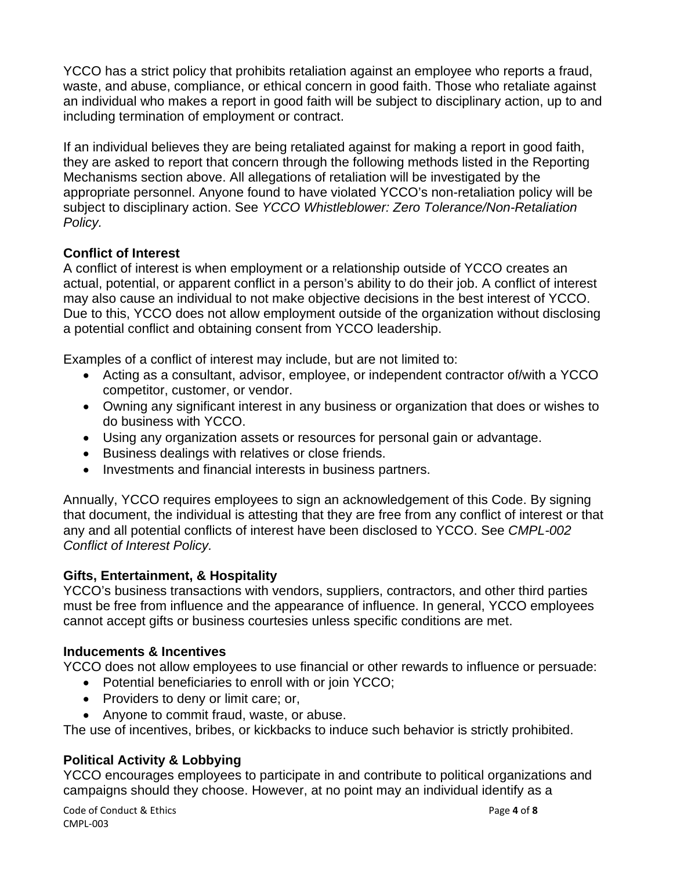YCCO has a strict policy that prohibits retaliation against an employee who reports a fraud, waste, and abuse, compliance, or ethical concern in good faith. Those who retaliate against an individual who makes a report in good faith will be subject to disciplinary action, up to and including termination of employment or contract.

If an individual believes they are being retaliated against for making a report in good faith, they are asked to report that concern through the following methods listed in the Reporting Mechanisms section above. All allegations of retaliation will be investigated by the appropriate personnel. Anyone found to have violated YCCO's non-retaliation policy will be subject to disciplinary action. See *YCCO Whistleblower: Zero Tolerance/Non-Retaliation Policy.*

# **Conflict of Interest**

A conflict of interest is when employment or a relationship outside of YCCO creates an actual, potential, or apparent conflict in a person's ability to do their job. A conflict of interest may also cause an individual to not make objective decisions in the best interest of YCCO. Due to this, YCCO does not allow employment outside of the organization without disclosing a potential conflict and obtaining consent from YCCO leadership.

Examples of a conflict of interest may include, but are not limited to:

- Acting as a consultant, advisor, employee, or independent contractor of/with a YCCO competitor, customer, or vendor.
- Owning any significant interest in any business or organization that does or wishes to do business with YCCO.
- Using any organization assets or resources for personal gain or advantage.
- Business dealings with relatives or close friends.
- Investments and financial interests in business partners.

Annually, YCCO requires employees to sign an acknowledgement of this Code. By signing that document, the individual is attesting that they are free from any conflict of interest or that any and all potential conflicts of interest have been disclosed to YCCO. See *CMPL-002 Conflict of Interest Policy.* 

# **Gifts, Entertainment, & Hospitality**

YCCO's business transactions with vendors, suppliers, contractors, and other third parties must be free from influence and the appearance of influence. In general, YCCO employees cannot accept gifts or business courtesies unless specific conditions are met.

# **Inducements & Incentives**

YCCO does not allow employees to use financial or other rewards to influence or persuade:

- Potential beneficiaries to enroll with or join YCCO;
- Providers to deny or limit care; or,
- Anyone to commit fraud, waste, or abuse.

The use of incentives, bribes, or kickbacks to induce such behavior is strictly prohibited.

# **Political Activity & Lobbying**

YCCO encourages employees to participate in and contribute to political organizations and campaigns should they choose. However, at no point may an individual identify as a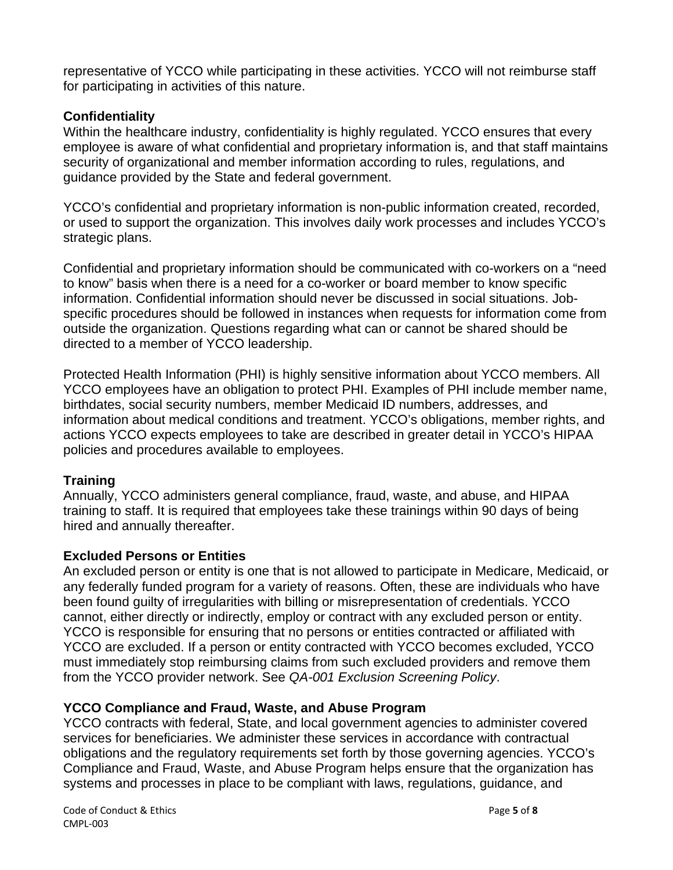representative of YCCO while participating in these activities. YCCO will not reimburse staff for participating in activities of this nature.

# **Confidentiality**

Within the healthcare industry, confidentiality is highly regulated. YCCO ensures that every employee is aware of what confidential and proprietary information is, and that staff maintains security of organizational and member information according to rules, regulations, and guidance provided by the State and federal government.

YCCO's confidential and proprietary information is non-public information created, recorded, or used to support the organization. This involves daily work processes and includes YCCO's strategic plans.

Confidential and proprietary information should be communicated with co-workers on a "need to know" basis when there is a need for a co-worker or board member to know specific information. Confidential information should never be discussed in social situations. Jobspecific procedures should be followed in instances when requests for information come from outside the organization. Questions regarding what can or cannot be shared should be directed to a member of YCCO leadership.

Protected Health Information (PHI) is highly sensitive information about YCCO members. All YCCO employees have an obligation to protect PHI. Examples of PHI include member name, birthdates, social security numbers, member Medicaid ID numbers, addresses, and information about medical conditions and treatment. YCCO's obligations, member rights, and actions YCCO expects employees to take are described in greater detail in YCCO's HIPAA policies and procedures available to employees.

# **Training**

Annually, YCCO administers general compliance, fraud, waste, and abuse, and HIPAA training to staff. It is required that employees take these trainings within 90 days of being hired and annually thereafter.

# **Excluded Persons or Entities**

An excluded person or entity is one that is not allowed to participate in Medicare, Medicaid, or any federally funded program for a variety of reasons. Often, these are individuals who have been found guilty of irregularities with billing or misrepresentation of credentials. YCCO cannot, either directly or indirectly, employ or contract with any excluded person or entity. YCCO is responsible for ensuring that no persons or entities contracted or affiliated with YCCO are excluded. If a person or entity contracted with YCCO becomes excluded, YCCO must immediately stop reimbursing claims from such excluded providers and remove them from the YCCO provider network. See *QA-001 Exclusion Screening Policy*.

# **YCCO Compliance and Fraud, Waste, and Abuse Program**

YCCO contracts with federal, State, and local government agencies to administer covered services for beneficiaries. We administer these services in accordance with contractual obligations and the regulatory requirements set forth by those governing agencies. YCCO's Compliance and Fraud, Waste, and Abuse Program helps ensure that the organization has systems and processes in place to be compliant with laws, regulations, guidance, and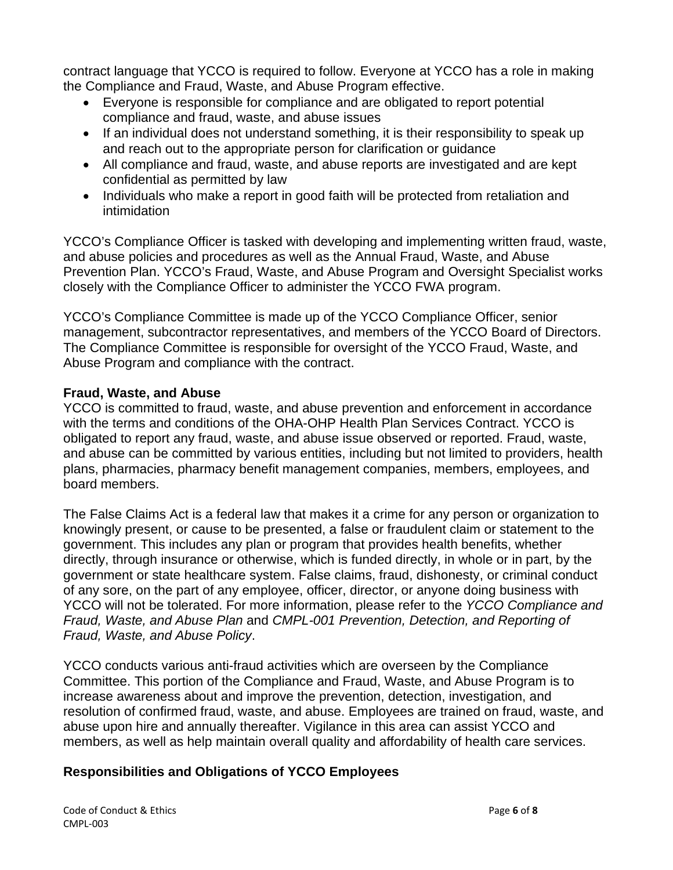contract language that YCCO is required to follow. Everyone at YCCO has a role in making the Compliance and Fraud, Waste, and Abuse Program effective.

- Everyone is responsible for compliance and are obligated to report potential compliance and fraud, waste, and abuse issues
- If an individual does not understand something, it is their responsibility to speak up and reach out to the appropriate person for clarification or guidance
- All compliance and fraud, waste, and abuse reports are investigated and are kept confidential as permitted by law
- Individuals who make a report in good faith will be protected from retaliation and intimidation

YCCO's Compliance Officer is tasked with developing and implementing written fraud, waste, and abuse policies and procedures as well as the Annual Fraud, Waste, and Abuse Prevention Plan. YCCO's Fraud, Waste, and Abuse Program and Oversight Specialist works closely with the Compliance Officer to administer the YCCO FWA program.

YCCO's Compliance Committee is made up of the YCCO Compliance Officer, senior management, subcontractor representatives, and members of the YCCO Board of Directors. The Compliance Committee is responsible for oversight of the YCCO Fraud, Waste, and Abuse Program and compliance with the contract.

# **Fraud, Waste, and Abuse**

YCCO is committed to fraud, waste, and abuse prevention and enforcement in accordance with the terms and conditions of the OHA-OHP Health Plan Services Contract. YCCO is obligated to report any fraud, waste, and abuse issue observed or reported. Fraud, waste, and abuse can be committed by various entities, including but not limited to providers, health plans, pharmacies, pharmacy benefit management companies, members, employees, and board members.

The False Claims Act is a federal law that makes it a crime for any person or organization to knowingly present, or cause to be presented, a false or fraudulent claim or statement to the government. This includes any plan or program that provides health benefits, whether directly, through insurance or otherwise, which is funded directly, in whole or in part, by the government or state healthcare system. False claims, fraud, dishonesty, or criminal conduct of any sore, on the part of any employee, officer, director, or anyone doing business with YCCO will not be tolerated. For more information, please refer to the *YCCO Compliance and Fraud, Waste, and Abuse Plan* and *CMPL-001 Prevention, Detection, and Reporting of Fraud, Waste, and Abuse Policy*.

YCCO conducts various anti-fraud activities which are overseen by the Compliance Committee. This portion of the Compliance and Fraud, Waste, and Abuse Program is to increase awareness about and improve the prevention, detection, investigation, and resolution of confirmed fraud, waste, and abuse. Employees are trained on fraud, waste, and abuse upon hire and annually thereafter. Vigilance in this area can assist YCCO and members, as well as help maintain overall quality and affordability of health care services.

# **Responsibilities and Obligations of YCCO Employees**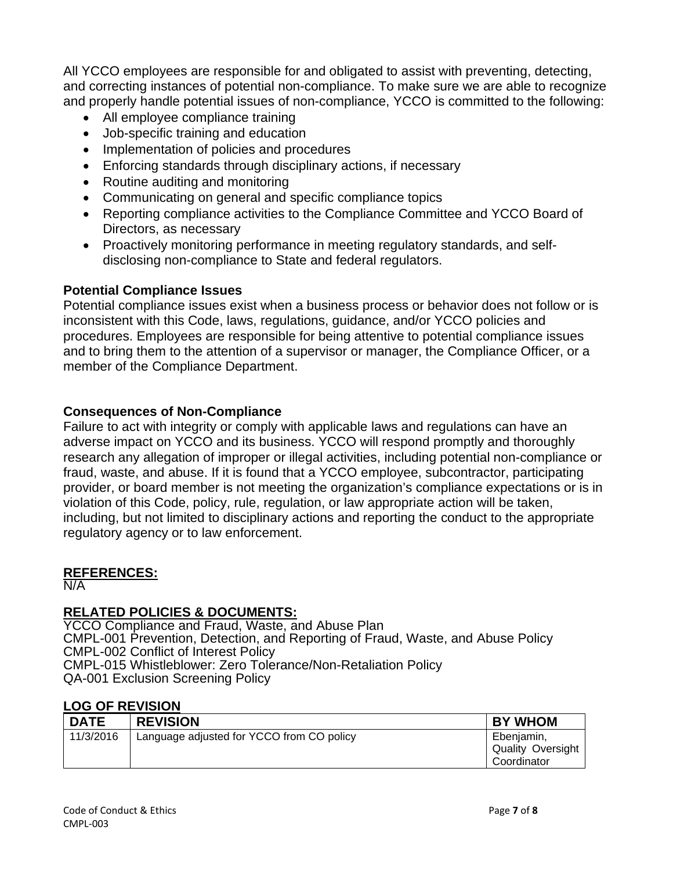All YCCO employees are responsible for and obligated to assist with preventing, detecting, and correcting instances of potential non-compliance. To make sure we are able to recognize and properly handle potential issues of non-compliance, YCCO is committed to the following:

- All employee compliance training
- Job-specific training and education
- Implementation of policies and procedures
- Enforcing standards through disciplinary actions, if necessary
- Routine auditing and monitoring
- Communicating on general and specific compliance topics
- Reporting compliance activities to the Compliance Committee and YCCO Board of Directors, as necessary
- Proactively monitoring performance in meeting regulatory standards, and selfdisclosing non-compliance to State and federal regulators.

#### **Potential Compliance Issues**

Potential compliance issues exist when a business process or behavior does not follow or is inconsistent with this Code, laws, regulations, guidance, and/or YCCO policies and procedures. Employees are responsible for being attentive to potential compliance issues and to bring them to the attention of a supervisor or manager, the Compliance Officer, or a member of the Compliance Department.

#### **Consequences of Non-Compliance**

Failure to act with integrity or comply with applicable laws and regulations can have an adverse impact on YCCO and its business. YCCO will respond promptly and thoroughly research any allegation of improper or illegal activities, including potential non-compliance or fraud, waste, and abuse. If it is found that a YCCO employee, subcontractor, participating provider, or board member is not meeting the organization's compliance expectations or is in violation of this Code, policy, rule, regulation, or law appropriate action will be taken, including, but not limited to disciplinary actions and reporting the conduct to the appropriate regulatory agency or to law enforcement.

#### **REFERENCES:**

N/A

# **RELATED POLICIES & DOCUMENTS:**

YCCO Compliance and Fraud, Waste, and Abuse Plan CMPL-001 Prevention, Detection, and Reporting of Fraud, Waste, and Abuse Policy CMPL-002 Conflict of Interest Policy CMPL-015 Whistleblower: Zero Tolerance/Non-Retaliation Policy QA-001 Exclusion Screening Policy

#### **LOG OF REVISION**

| <b>DATE</b> | <b>REVISION</b>                           | <b>BY WHOM</b>                                        |
|-------------|-------------------------------------------|-------------------------------------------------------|
| 11/3/2016   | Language adjusted for YCCO from CO policy | Ebenjamin,<br><b>Quality Oversight</b><br>Coordinator |